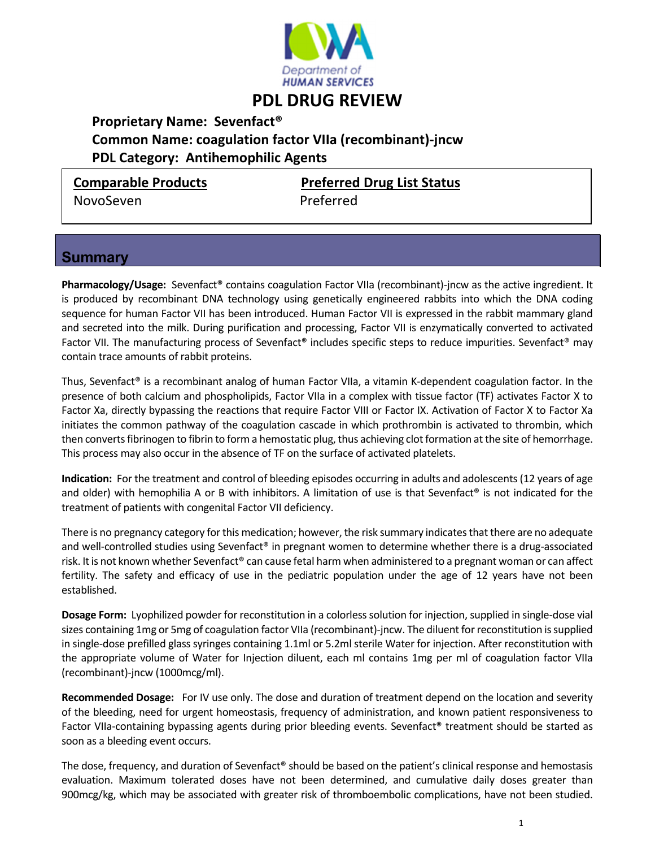

## **PDL DRUG REVIEW**

 **Proprietary Name: Sevenfact®**

## **Common Name: coagulation factor VIIa (recombinant)‐jncw PDL Category: Antihemophilic Agents**

NovoSeven Preferred

**Comparable Products Preferred Drug List Status**

## **Summary**

**Pharmacology/Usage:** Sevenfact<sup>®</sup> contains coagulation Factor VIIa (recombinant)-jncw as the active ingredient. It is produced by recombinant DNA technology using genetically engineered rabbits into which the DNA coding sequence for human Factor VII has been introduced. Human Factor VII is expressed in the rabbit mammary gland and secreted into the milk. During purification and processing, Factor VII is enzymatically converted to activated Factor VII. The manufacturing process of Sevenfact<sup>®</sup> includes specific steps to reduce impurities. Sevenfact<sup>®</sup> may contain trace amounts of rabbit proteins.

Thus, Sevenfact® is a recombinant analog of human Factor VIIa, a vitamin K-dependent coagulation factor. In the presence of both calcium and phospholipids, Factor VIIa in a complex with tissue factor (TF) activates Factor X to Factor Xa, directly bypassing the reactions that require Factor VIII or Factor IX. Activation of Factor X to Factor Xa initiates the common pathway of the coagulation cascade in which prothrombin is activated to thrombin, which then converts fibrinogen to fibrin to form a hemostatic plug, thus achieving clot formation at the site of hemorrhage. This process may also occur in the absence of TF on the surface of activated platelets.

**Indication:** For the treatment and control of bleeding episodes occurring in adults and adolescents (12 years of age and older) with hemophilia A or B with inhibitors. A limitation of use is that Sevenfact® is not indicated for the treatment of patients with congenital Factor VII deficiency.

There is no pregnancy category for this medication; however, the risk summary indicates that there are no adequate and well-controlled studies using Sevenfact® in pregnant women to determine whether there is a drug-associated risk. Itis not known whether Sevenfact® can cause fetal harm when administered to a pregnant woman or can affect fertility. The safety and efficacy of use in the pediatric population under the age of 12 years have not been established.

**Dosage Form:** Lyophilized powder for reconstitution in a colorless solution for injection, supplied in single-dose vial sizes containing 1mg or 5mg of coagulation factor VIIa (recombinant)-jncw. The diluent for reconstitution is supplied in single‐dose prefilled glasssyringes containing 1.1ml or 5.2ml sterile Water for injection. After reconstitution with the appropriate volume of Water for Injection diluent, each ml contains 1mg per ml of coagulation factor VIIa (recombinant)‐jncw (1000mcg/ml).

**Recommended Dosage:** For IV use only. The dose and duration of treatment depend on the location and severity of the bleeding, need for urgent homeostasis, frequency of administration, and known patient responsiveness to Factor VIIa‐containing bypassing agents during prior bleeding events. Sevenfact® treatment should be started as soon as a bleeding event occurs.

The dose, frequency, and duration of Sevenfact® should be based on the patient's clinical response and hemostasis evaluation. Maximum tolerated doses have not been determined, and cumulative daily doses greater than 900mcg/kg, which may be associated with greater risk of thromboembolic complications, have not been studied.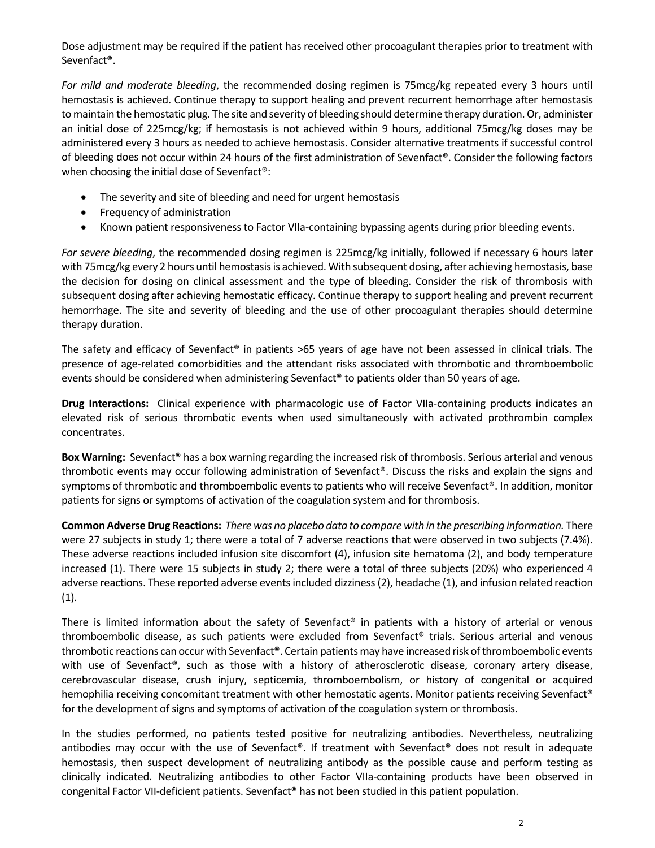Dose adjustment may be required if the patient has received other procoagulant therapies prior to treatment with Sevenfact®.

*For mild and moderate bleeding*, the recommended dosing regimen is 75mcg/kg repeated every 3 hours until hemostasis is achieved. Continue therapy to support healing and prevent recurrent hemorrhage after hemostasis to maintain the hemostatic plug. The site and severity of bleeding should determine therapy duration. Or, administer an initial dose of 225mcg/kg; if hemostasis is not achieved within 9 hours, additional 75mcg/kg doses may be administered every 3 hours as needed to achieve hemostasis. Consider alternative treatments if successful control of bleeding does not occur within 24 hours of the first administration of Sevenfact®. Consider the following factors when choosing the initial dose of Sevenfact®:

- The severity and site of bleeding and need for urgent hemostasis
- Frequency of administration
- Known patient responsiveness to Factor VIIa‐containing bypassing agents during prior bleeding events.

*For severe bleeding*, the recommended dosing regimen is 225mcg/kg initially, followed if necessary 6 hours later with 75mcg/kg every 2 hours until hemostasisis achieved. With subsequent dosing, after achieving hemostasis, base the decision for dosing on clinical assessment and the type of bleeding. Consider the risk of thrombosis with subsequent dosing after achieving hemostatic efficacy. Continue therapy to support healing and prevent recurrent hemorrhage. The site and severity of bleeding and the use of other procoagulant therapies should determine therapy duration.

The safety and efficacy of Sevenfact<sup>®</sup> in patients >65 years of age have not been assessed in clinical trials. The presence of age-related comorbidities and the attendant risks associated with thrombotic and thromboembolic events should be considered when administering Sevenfact® to patients older than 50 years of age.

**Drug Interactions:**  Clinical experience with pharmacologic use of Factor VIIa‐containing products indicates an elevated risk of serious thrombotic events when used simultaneously with activated prothrombin complex concentrates.

**Box Warning:** Sevenfact® has a box warning regarding the increased risk of thrombosis. Serious arterial and venous thrombotic events may occur following administration of Sevenfact®. Discuss the risks and explain the signs and symptoms of thrombotic and thromboembolic events to patients who will receive Sevenfact®. In addition, monitor patients for signs or symptoms of activation of the coagulation system and for thrombosis.

**Common AdverseDrug Reactions:** *There was no placebo data to compare with in the prescribing information.* There were 27 subjects in study 1; there were a total of 7 adverse reactions that were observed in two subjects (7.4%). These adverse reactions included infusion site discomfort (4), infusion site hematoma (2), and body temperature increased (1). There were 15 subjects in study 2; there were a total of three subjects (20%) who experienced 4 adverse reactions. These reported adverse events included dizziness (2), headache (1), and infusion related reaction (1).

There is limited information about the safety of Sevenfact® in patients with a history of arterial or venous thromboembolic disease, as such patients were excluded from Sevenfact® trials. Serious arterial and venous thrombotic reactions can occur with Sevenfact®. Certain patients may have increased risk of thromboembolic events with use of Sevenfact®, such as those with a history of atherosclerotic disease, coronary artery disease, cerebrovascular disease, crush injury, septicemia, thromboembolism, or history of congenital or acquired hemophilia receiving concomitant treatment with other hemostatic agents. Monitor patients receiving Sevenfact® for the development of signs and symptoms of activation of the coagulation system or thrombosis.

In the studies performed, no patients tested positive for neutralizing antibodies. Nevertheless, neutralizing antibodies may occur with the use of Sevenfact®. If treatment with Sevenfact® does not result in adequate hemostasis, then suspect development of neutralizing antibody as the possible cause and perform testing as clinically indicated. Neutralizing antibodies to other Factor VIIa‐containing products have been observed in congenital Factor VII-deficient patients. Sevenfact<sup>®</sup> has not been studied in this patient population.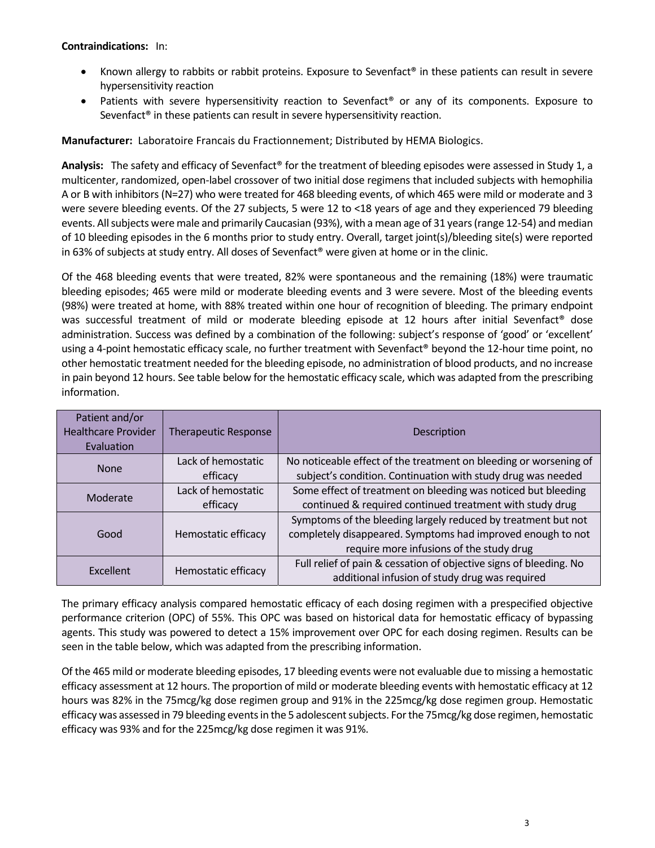**Contraindications:**  In:

- Known allergy to rabbits or rabbit proteins. Exposure to Sevenfact<sup>®</sup> in these patients can result in severe hypersensitivity reaction
- Patients with severe hypersensitivity reaction to Sevenfact® or any of its components. Exposure to Sevenfact<sup>®</sup> in these patients can result in severe hypersensitivity reaction.

**Manufacturer:** Laboratoire Francais du Fractionnement; Distributed by HEMA Biologics.

**Analysis:**  The safety and efficacy of Sevenfact® for the treatment of bleeding episodes were assessed in Study 1, a multicenter, randomized, open‐label crossover of two initial dose regimens that included subjects with hemophilia A or B with inhibitors (N=27) who were treated for 468 bleeding events, of which 465 were mild or moderate and 3 were severe bleeding events. Of the 27 subjects, 5 were 12 to ˂18 years of age and they experienced 79 bleeding events. All subjects were male and primarily Caucasian (93%), with a mean age of 31 years (range 12-54) and median of 10 bleeding episodes in the 6 months prior to study entry. Overall, target joint(s)/bleeding site(s) were reported in 63% of subjects at study entry. All doses of Sevenfact® were given at home or in the clinic.

Of the 468 bleeding events that were treated, 82% were spontaneous and the remaining (18%) were traumatic bleeding episodes; 465 were mild or moderate bleeding events and 3 were severe. Most of the bleeding events (98%) were treated at home, with 88% treated within one hour of recognition of bleeding. The primary endpoint was successful treatment of mild or moderate bleeding episode at 12 hours after initial Sevenfact<sup>®</sup> dose administration. Success was defined by a combination of the following: subject's response of 'good' or 'excellent' using a 4-point hemostatic efficacy scale, no further treatment with Sevenfact® beyond the 12-hour time point, no other hemostatic treatment needed for the bleeding episode, no administration of blood products, and no increase in pain beyond 12 hours. See table below for the hemostatic efficacy scale, which was adapted from the prescribing information.

| Patient and/or<br><b>Healthcare Provider</b><br>Evaluation | <b>Therapeutic Response</b>    | Description                                                                                                                                                              |  |
|------------------------------------------------------------|--------------------------------|--------------------------------------------------------------------------------------------------------------------------------------------------------------------------|--|
| <b>None</b>                                                | Lack of hemostatic<br>efficacy | No noticeable effect of the treatment on bleeding or worsening of<br>subject's condition. Continuation with study drug was needed                                        |  |
| Moderate                                                   | Lack of hemostatic<br>efficacy | Some effect of treatment on bleeding was noticed but bleeding<br>continued & required continued treatment with study drug                                                |  |
| Good                                                       | Hemostatic efficacy            | Symptoms of the bleeding largely reduced by treatment but not<br>completely disappeared. Symptoms had improved enough to not<br>require more infusions of the study drug |  |
| Excellent                                                  | Hemostatic efficacy            | Full relief of pain & cessation of objective signs of bleeding. No<br>additional infusion of study drug was required                                                     |  |

The primary efficacy analysis compared hemostatic efficacy of each dosing regimen with a prespecified objective performance criterion (OPC) of 55%. This OPC was based on historical data for hemostatic efficacy of bypassing agents. This study was powered to detect a 15% improvement over OPC for each dosing regimen. Results can be seen in the table below, which was adapted from the prescribing information.

Of the 465 mild or moderate bleeding episodes, 17 bleeding events were not evaluable due to missing a hemostatic efficacy assessment at 12 hours. The proportion of mild or moderate bleeding events with hemostatic efficacy at 12 hours was 82% in the 75mcg/kg dose regimen group and 91% in the 225mcg/kg dose regimen group. Hemostatic efficacy was assessed in 79 bleeding events in the 5 adolescent subjects. For the 75mcg/kg dose regimen, hemostatic efficacy was 93% and for the 225mcg/kg dose regimen it was 91%.